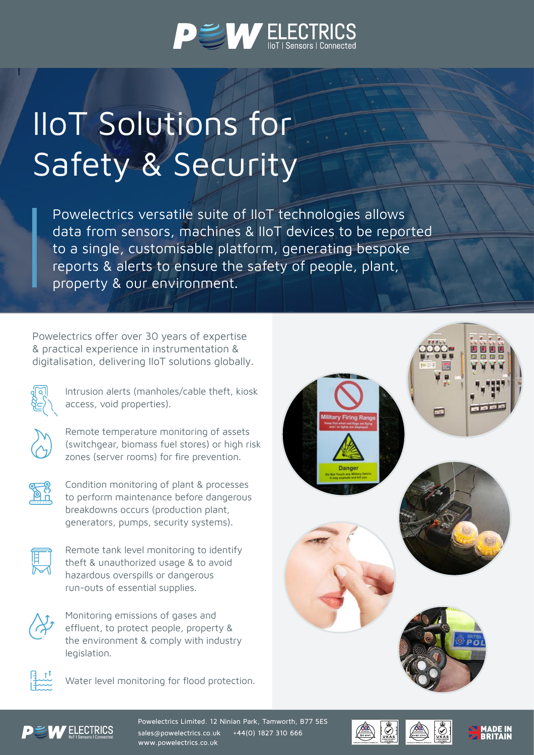

## IIoT Solutions for Safety & Security

Powelectrics versatile suite of IIoT technologies allows data from sensors, machines & IIoT devices to be reported to a single, customisable platform, generating bespoke reports & alerts to ensure the safety of people, plant, property & our environment.

Powelectrics offer over 30 years of expertise & practical experience in instrumentation & digitalisation, delivering IIoT solutions globally.



Intrusion alerts (manholes/cable theft, kiosk access, void properties).



Remote temperature monitoring of assets (switchgear, biomass fuel stores) or high risk zones (server rooms) for fire prevention.



Condition monitoring of plant & processes to perform maintenance before dangerous breakdowns occurs (production plant, generators, pumps, security systems).



Remote tank level monitoring to identify theft & unauthorized usage & to avoid hazardous overspills or dangerous run-outs of essential supplies.



Monitoring emissions of gases and effluent, to protect people, property & the environment & comply with industry legislation.



Water level monitoring for flood protection.





Powelectrics Limited. 12 Ninian Park, Tamworth, B77 5ES sales@powelectrics.co.uk +44(0) 1827 310 666 www.powelectrics.co.uk